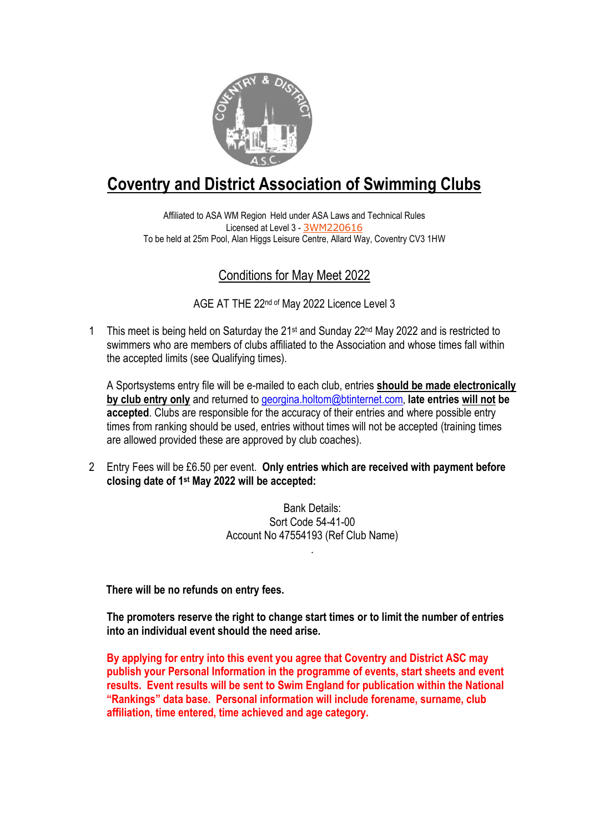

# **Coventry and District Association of Swimming Clubs**

Affiliated to ASA WM Region Held under ASA Laws and Technical Rules Licensed at Level 3 - [3WM220616](https://www.swimmingresults.org/licensed_meets/meet.php?meet=63403&page=1®ion=WM&level=3S&month=5&year=2022) To be held at 25m Pool, Alan Higgs Leisure Centre, Allard Way, Coventry CV3 1HW

### Conditions for May Meet 2022

AGE AT THE 22nd of May 2022 Licence Level 3

1 This meet is being held on Saturday the  $21st$  and Sunday  $22nd$  May 2022 and is restricted to swimmers who are members of clubs affiliated to the Association and whose times fall within the accepted limits (see Qualifying times).

A Sportsystems entry file will be e-mailed to each club, entries **should be made electronically by club entry only** and returned to [georgina.holtom@btinternet.com](mailto:georgina.holtom@btinternet.com), **late entries will not be accepted**. Clubs are responsible for the accuracy of their entries and where possible entry times from ranking should be used, entries without times will not be accepted (training times are allowed provided these are approved by club coaches).

2 Entry Fees will be £6.50 per event. **Only entries which are received with payment before closing date of 1 st May 2022 will be accepted:**

> Bank Details: Sort Code 54-41-00 Account No 47554193 (Ref Club Name)

> > .

**There will be no refunds on entry fees.**

**The promoters reserve the right to change start times or to limit the number of entries into an individual event should the need arise.**

**By applying for entry into this event you agree that Coventry and District ASC may publish your Personal Information in the programme of events, start sheets and event results. Event results will be sent to Swim England for publication within the National "Rankings" data base. Personal information will include forename, surname, club affiliation, time entered, time achieved and age category.**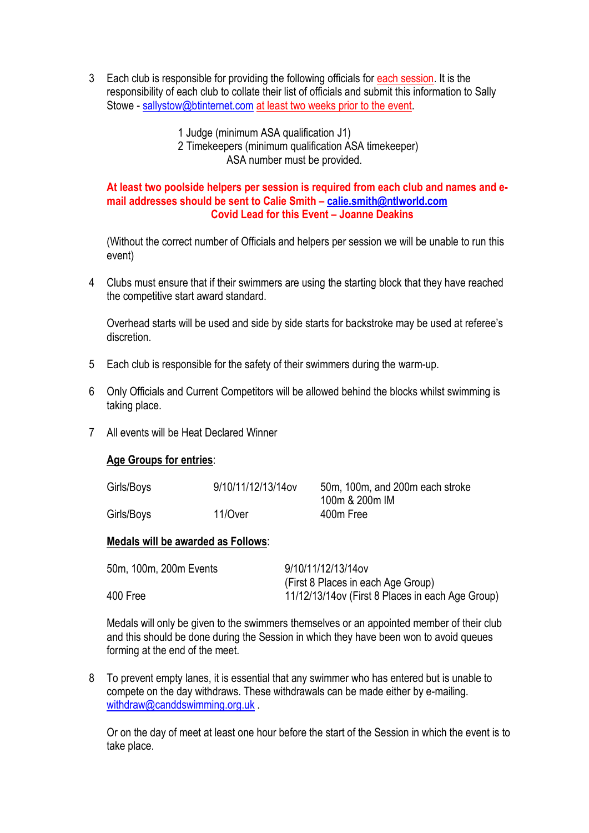3 Each club is responsible for providing the following officials for each session. It is the responsibility of each club to collate their list of officials and submit this information to Sally Stowe - [sallystow@btinternet.com](mailto:sallystow@btinternet.com) at least two weeks prior to the event.

> 1 Judge (minimum ASA qualification J1) 2 Timekeepers (minimum qualification ASA timekeeper) ASA number must be provided.

#### **At least two poolside helpers per session is required from each club and names and email addresses should be sent to Calie Smith – [calie.smith@ntlworld.com](mailto:calie.smith@ntlworld.com) Covid Lead for this Event – Joanne Deakins**

(Without the correct number of Officials and helpers per session we will be unable to run this event)

4 Clubs must ensure that if their swimmers are using the starting block that they have reached the competitive start award standard.

Overhead starts will be used and side by side starts for backstroke may be used at referee's discretion.

- 5 Each club is responsible for the safety of their swimmers during the warm-up.
- 6 Only Officials and Current Competitors will be allowed behind the blocks whilst swimming is taking place.
- 7 All events will be Heat Declared Winner

#### **Age Groups for entries**:

| Girls/Boys | 9/10/11/12/13/14ov | 50m, 100m, and 200m each stroke |
|------------|--------------------|---------------------------------|
|            |                    | 100m & 200m IM                  |
| Girls/Boys | 11/Over            | 400m Free                       |

#### **Medals will be awarded as Follows**:

| 50m, 100m, 200m Events | 9/10/11/12/13/14ov                                |
|------------------------|---------------------------------------------------|
|                        | (First 8 Places in each Age Group)                |
| 400 Free               | 11/12/13/14 ov (First 8 Places in each Age Group) |

Medals will only be given to the swimmers themselves or an appointed member of their club and this should be done during the Session in which they have been won to avoid queues forming at the end of the meet.

8 To prevent empty lanes, it is essential that any swimmer who has entered but is unable to compete on the day withdraws. These withdrawals can be made either by e-mailing. [withdraw@canddswimming.org.uk](mailto:withdraw@canddswimming.org.uk)

Or on the day of meet at least one hour before the start of the Session in which the event is to take place.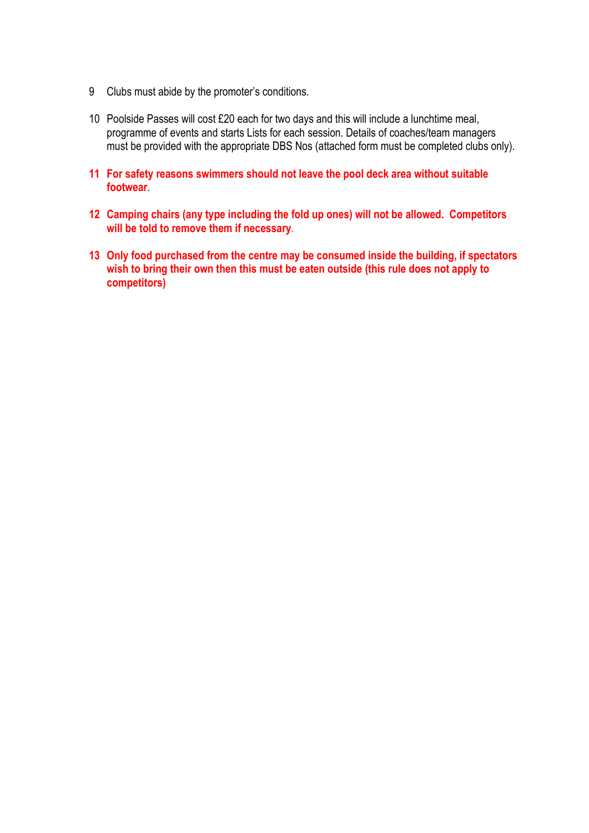- 9 Clubs must abide by the promoter's conditions.
- 10 Poolside Passes will cost £20 each for two days and this will include a lunchtime meal, programme of events and starts Lists for each session. Details of coaches/team managers must be provided with the appropriate DBS Nos (attached form must be completed clubs only).
- **11 For safety reasons swimmers should not leave the pool deck area without suitable footwear**.
- **12 Camping chairs (any type including the fold up ones) will not be allowed. Competitors will be told to remove them if necessary**.
- **13 Only food purchased from the centre may be consumed inside the building, if spectators wish to bring their own then this must be eaten outside (this rule does not apply to competitors)**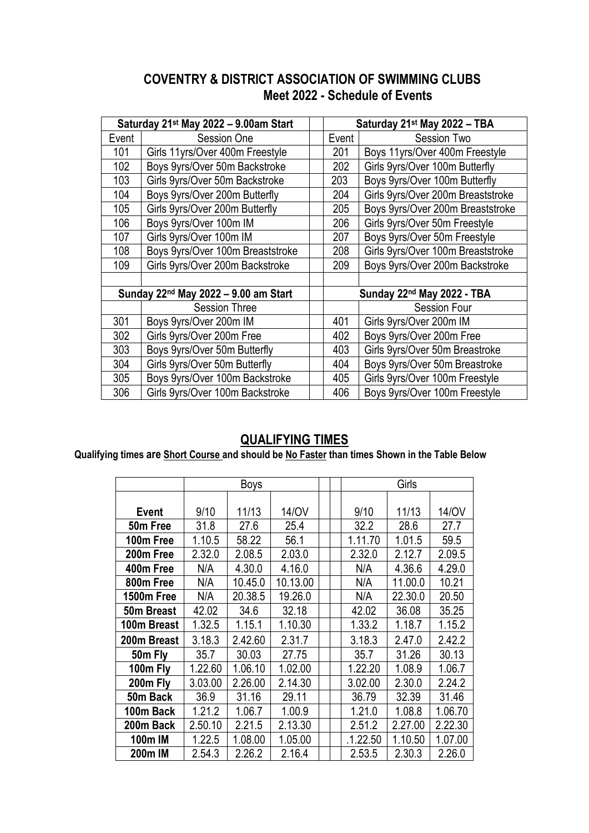### **COVENTRY & DISTRICT ASSOCIATION OF SWIMMING CLUBS Meet 2022 - Schedule of Events**

| Saturday 21 <sup>st</sup> May 2022 - 9.00am Start |                                  | Saturday 21st May 2022 - TBA           |                                   |  |
|---------------------------------------------------|----------------------------------|----------------------------------------|-----------------------------------|--|
| Event                                             | <b>Session One</b>               | Event                                  | Session Two                       |  |
| 101                                               | Girls 11yrs/Over 400m Freestyle  | 201                                    | Boys 11yrs/Over 400m Freestyle    |  |
| 102                                               | Boys 9yrs/Over 50m Backstroke    | 202                                    | Girls 9yrs/Over 100m Butterfly    |  |
| 103                                               | Girls 9yrs/Over 50m Backstroke   | 203                                    | Boys 9yrs/Over 100m Butterfly     |  |
| 104                                               | Boys 9yrs/Over 200m Butterfly    | 204                                    | Girls 9yrs/Over 200m Breaststroke |  |
| 105                                               | Girls 9yrs/Over 200m Butterfly   | 205                                    | Boys 9yrs/Over 200m Breaststroke  |  |
| 106                                               | Boys 9yrs/Over 100m IM           | 206                                    | Girls 9yrs/Over 50m Freestyle     |  |
| 107                                               | Girls 9yrs/Over 100m IM          | 207                                    | Boys 9yrs/Over 50m Freestyle      |  |
| 108                                               | Boys 9yrs/Over 100m Breaststroke | 208                                    | Girls 9yrs/Over 100m Breaststroke |  |
| 109                                               | Girls 9yrs/Over 200m Backstroke  | 209                                    | Boys 9yrs/Over 200m Backstroke    |  |
|                                                   |                                  |                                        |                                   |  |
| Sunday 22 <sup>nd</sup> May 2022 - 9.00 am Start  |                                  | Sunday 22 <sup>nd</sup> May 2022 - TBA |                                   |  |
|                                                   | <b>Session Three</b>             |                                        | <b>Session Four</b>               |  |
| 301                                               | Boys 9yrs/Over 200m IM           | 401                                    | Girls 9yrs/Over 200m IM           |  |
| 302                                               | Girls 9yrs/Over 200m Free        | 402                                    | Boys 9yrs/Over 200m Free          |  |
| 303                                               | Boys 9yrs/Over 50m Butterfly     | 403                                    | Girls 9yrs/Over 50m Breastroke    |  |
| 304                                               | Girls 9yrs/Over 50m Butterfly    | 404                                    | Boys 9yrs/Over 50m Breastroke     |  |
| 305                                               | Boys 9yrs/Over 100m Backstroke   | 405                                    | Girls 9yrs/Over 100m Freestyle    |  |
| 306                                               | Girls 9yrs/Over 100m Backstroke  | 406                                    | Boys 9yrs/Over 100m Freestyle     |  |

## **QUALIFYING TIMES**

**Qualifying times are Short Course and should be No Faster than times Shown in the Table Below**

|              |         | Boys    |          |  | Girls    |         |         |
|--------------|---------|---------|----------|--|----------|---------|---------|
|              |         |         |          |  |          |         |         |
| <b>Event</b> | 9/10    | 11/13   | 14/0V    |  | 9/10     | 11/13   | 14/0V   |
| 50m Free     | 31.8    | 27.6    | 25.4     |  | 32.2     | 28.6    | 27.7    |
| 100m Free    | 1.10.5  | 58.22   | 56.1     |  | 1.11.70  | 1.01.5  | 59.5    |
| 200m Free    | 2.32.0  | 2.08.5  | 2.03.0   |  | 2.32.0   | 2.12.7  | 2.09.5  |
| 400m Free    | N/A     | 4.30.0  | 4.16.0   |  | N/A      | 4.36.6  | 4.29.0  |
| 800m Free    | N/A     | 10.45.0 | 10.13.00 |  | N/A      | 11.00.0 | 10.21   |
| 1500m Free   | N/A     | 20.38.5 | 19.26.0  |  | N/A      | 22.30.0 | 20.50   |
| 50m Breast   | 42.02   | 34.6    | 32.18    |  | 42.02    | 36.08   | 35.25   |
| 100m Breast  | 1.32.5  | 1.15.1  | 1.10.30  |  | 1.33.2   | 1.18.7  | 1.15.2  |
| 200m Breast  | 3.18.3  | 2.42.60 | 2.31.7   |  | 3.18.3   | 2.47.0  | 2.42.2  |
| 50m Fly      | 35.7    | 30.03   | 27.75    |  | 35.7     | 31.26   | 30.13   |
| 100m Fly     | 1.22.60 | 1.06.10 | 1.02.00  |  | 1.22.20  | 1.08.9  | 1.06.7  |
| 200m Fly     | 3.03.00 | 2.26.00 | 2.14.30  |  | 3.02.00  | 2.30.0  | 2.24.2  |
| 50m Back     | 36.9    | 31.16   | 29.11    |  | 36.79    | 32.39   | 31.46   |
| 100m Back    | 1.21.2  | 1.06.7  | 1.00.9   |  | 1.21.0   | 1.08.8  | 1.06.70 |
| 200m Back    | 2.50.10 | 2.21.5  | 2.13.30  |  | 2.51.2   | 2.27.00 | 2.22.30 |
| 100m IM      | 1.22.5  | 1.08.00 | 1.05.00  |  | .1.22.50 | 1.10.50 | 1.07.00 |
| 200m IM      | 2.54.3  | 2.26.2  | 2.16.4   |  | 2.53.5   | 2.30.3  | 2.26.0  |